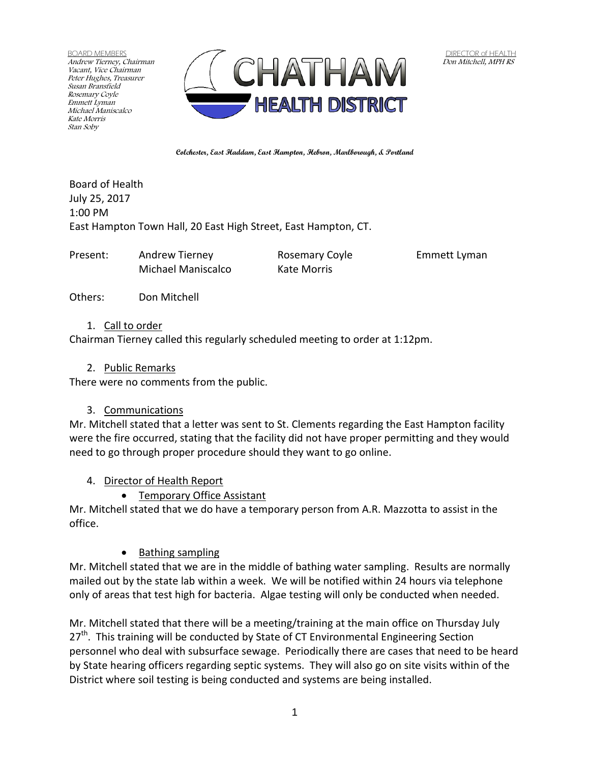BOARD MEMBERS Andrew Tierney, Chairman Vacant, Vice Chairman Peter Hughes, Treasurer Susan Bransfield Rosemary Coyle Emmett Lyman Michael Maniscalco Kate Morris Stan Soby



**Colchester, East Haddam, East Hampton, Hebron, Marlborough, & Portland**

Board of Health July 25, 2017 1:00 PM East Hampton Town Hall, 20 East High Street, East Hampton, CT.

Present: Andrew Tierney Rosemary Coyle Emmett Lyman

Michael Maniscalco Kate Morris

Others: Don Mitchell

#### 1. Call to order

Chairman Tierney called this regularly scheduled meeting to order at 1:12pm.

#### 2. Public Remarks

There were no comments from the public.

#### 3. Communications

Mr. Mitchell stated that a letter was sent to St. Clements regarding the East Hampton facility were the fire occurred, stating that the facility did not have proper permitting and they would need to go through proper procedure should they want to go online.

#### 4. Director of Health Report

• Temporary Office Assistant

Mr. Mitchell stated that we do have a temporary person from A.R. Mazzotta to assist in the office.

• Bathing sampling

Mr. Mitchell stated that we are in the middle of bathing water sampling. Results are normally mailed out by the state lab within a week. We will be notified within 24 hours via telephone only of areas that test high for bacteria. Algae testing will only be conducted when needed.

Mr. Mitchell stated that there will be a meeting/training at the main office on Thursday July  $27<sup>th</sup>$ . This training will be conducted by State of CT Environmental Engineering Section personnel who deal with subsurface sewage. Periodically there are cases that need to be heard by State hearing officers regarding septic systems. They will also go on site visits within of the District where soil testing is being conducted and systems are being installed.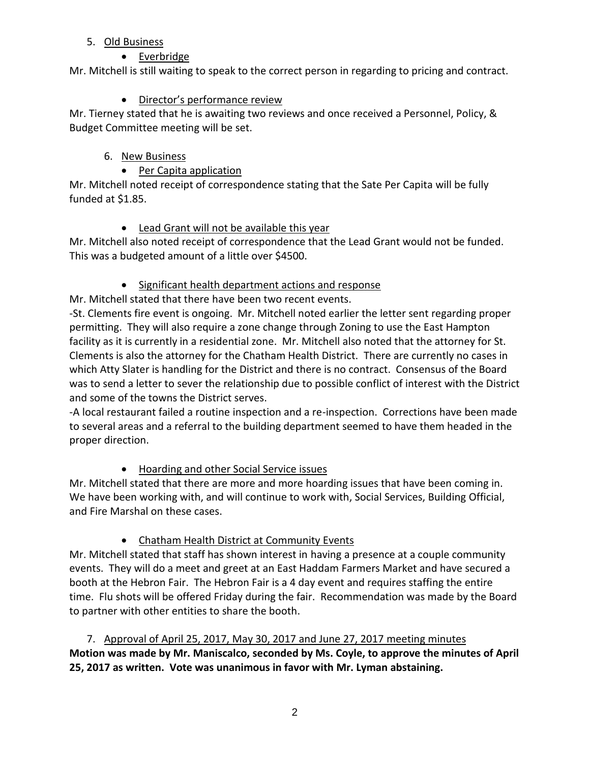#### 5. Old Business

## • Everbridge

Mr. Mitchell is still waiting to speak to the correct person in regarding to pricing and contract.

### Director's performance review

Mr. Tierney stated that he is awaiting two reviews and once received a Personnel, Policy, & Budget Committee meeting will be set.

## 6. New Business

## • Per Capita application

Mr. Mitchell noted receipt of correspondence stating that the Sate Per Capita will be fully funded at \$1.85.

## Lead Grant will not be available this year

Mr. Mitchell also noted receipt of correspondence that the Lead Grant would not be funded. This was a budgeted amount of a little over \$4500.

## • Significant health department actions and response

Mr. Mitchell stated that there have been two recent events.

-St. Clements fire event is ongoing. Mr. Mitchell noted earlier the letter sent regarding proper permitting. They will also require a zone change through Zoning to use the East Hampton facility as it is currently in a residential zone. Mr. Mitchell also noted that the attorney for St. Clements is also the attorney for the Chatham Health District. There are currently no cases in which Atty Slater is handling for the District and there is no contract. Consensus of the Board was to send a letter to sever the relationship due to possible conflict of interest with the District and some of the towns the District serves.

-A local restaurant failed a routine inspection and a re-inspection. Corrections have been made to several areas and a referral to the building department seemed to have them headed in the proper direction.

# Hoarding and other Social Service issues

Mr. Mitchell stated that there are more and more hoarding issues that have been coming in. We have been working with, and will continue to work with, Social Services, Building Official, and Fire Marshal on these cases.

# Chatham Health District at Community Events

Mr. Mitchell stated that staff has shown interest in having a presence at a couple community events. They will do a meet and greet at an East Haddam Farmers Market and have secured a booth at the Hebron Fair. The Hebron Fair is a 4 day event and requires staffing the entire time. Flu shots will be offered Friday during the fair. Recommendation was made by the Board to partner with other entities to share the booth.

7. Approval of April 25, 2017, May 30, 2017 and June 27, 2017 meeting minutes **Motion was made by Mr. Maniscalco, seconded by Ms. Coyle, to approve the minutes of April 25, 2017 as written. Vote was unanimous in favor with Mr. Lyman abstaining.**